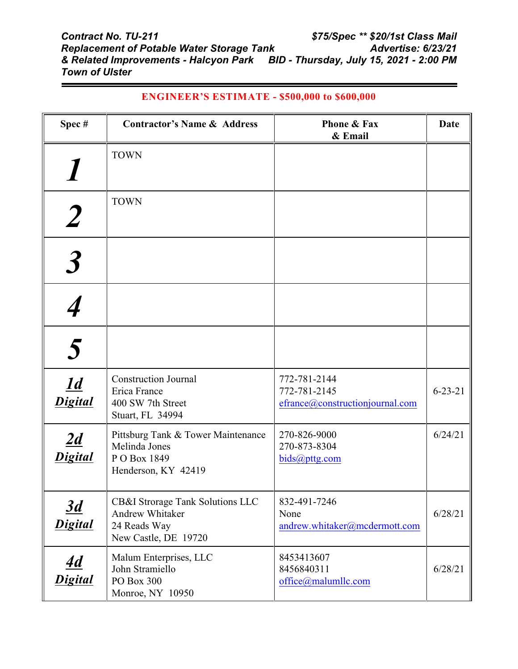| Spec#                                         | <b>Contractor's Name &amp; Address</b>                                                      | <b>Phone &amp; Fax</b><br>& Email                               | <b>Date</b>   |
|-----------------------------------------------|---------------------------------------------------------------------------------------------|-----------------------------------------------------------------|---------------|
|                                               | <b>TOWN</b>                                                                                 |                                                                 |               |
|                                               | <b>TOWN</b>                                                                                 |                                                                 |               |
|                                               |                                                                                             |                                                                 |               |
|                                               |                                                                                             |                                                                 |               |
| $\overline{\mathbf{5}}$                       |                                                                                             |                                                                 |               |
| $\overline{\underline{1d}}$<br><b>Digital</b> | <b>Construction Journal</b><br>Erica France<br>400 SW 7th Street<br>Stuart, FL 34994        | 772-781-2144<br>772-781-2145<br>efrance@constructionjournal.com | $6 - 23 - 21$ |
| 2d<br><b>Digital</b>                          | Pittsburg Tank & Tower Maintenance<br>Melinda Jones<br>P O Box 1849<br>Henderson, KY 42419  | 270-826-9000<br>270-873-8304<br>bids@pttg.com                   | 6/24/21       |
| $\overline{3d}$<br><b>Digital</b>             | CB&I Strorage Tank Solutions LLC<br>Andrew Whitaker<br>24 Reads Way<br>New Castle, DE 19720 | 832-491-7246<br>None<br>andrew.whitaker@mcdermott.com           | 6/28/21       |
| <u>4d</u><br><b>Digital</b>                   | Malum Enterprises, LLC<br>John Stramiello<br>PO Box 300<br>Monroe, NY 10950                 | 8453413607<br>8456840311<br>office@malumllc.com                 | 6/28/21       |

## **ENGINEER'S ESTIMATE - \$500,000 to \$600,000**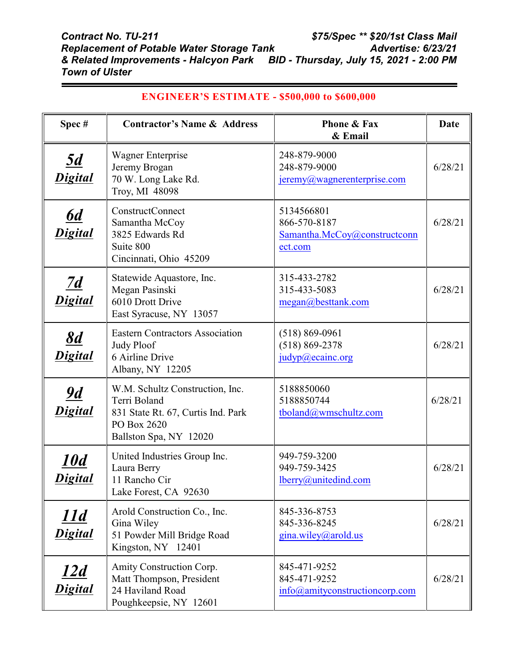| Spec#                             | <b>Contractor's Name &amp; Address</b>                                                                                         | <b>Phone &amp; Fax</b><br>& Email                                     | <b>Date</b> |
|-----------------------------------|--------------------------------------------------------------------------------------------------------------------------------|-----------------------------------------------------------------------|-------------|
| <u>5d</u><br>Digital              | Wagner Enterprise<br>Jeremy Brogan<br>70 W. Long Lake Rd.<br>Troy, MI 48098                                                    | 248-879-9000<br>248-879-9000<br>$j$ eremy@wagnerenterprise.com        | 6/28/21     |
| <u>6d</u><br>Digital              | ConstructConnect<br>Samantha McCoy<br>3825 Edwards Rd<br>Suite 800<br>Cincinnati, Ohio 45209                                   | 5134566801<br>866-570-8187<br>Samantha.McCoy@constructconn<br>ect.com | 6/28/21     |
| $\overline{2d}$<br><b>Digital</b> | Statewide Aquastore, Inc.<br>Megan Pasinski<br>6010 Drott Drive<br>East Syracuse, NY 13057                                     | 315-433-2782<br>315-433-5083<br>megan@besttank.com                    | 6/28/21     |
| $\mathbf{8d}$<br>Digital          | <b>Eastern Contractors Association</b><br>Judy Ploof<br>6 Airline Drive<br>Albany, NY 12205                                    | $(518) 869 - 0961$<br>$(518) 869 - 2378$<br>judyp@ecainc.org          | 6/28/21     |
| $\overline{9d}$<br>Digital        | W.M. Schultz Construction, Inc.<br>Terri Boland<br>831 State Rt. 67, Curtis Ind. Park<br>PO Box 2620<br>Ballston Spa, NY 12020 | 5188850060<br>5188850744<br>tboland@wmschultz.com                     | 6/28/21     |
| <u> 10d</u><br>Digital            | United Industries Group Inc.<br>Laura Berry<br>11 Rancho Cir<br>Lake Forest, CA 92630                                          | 949-759-3200<br>949-759-3425<br>lberry@unitedind.com                  | 6/28/21     |
| 11d<br><b>Digital</b>             | Arold Construction Co., Inc.<br>Gina Wiley<br>51 Powder Mill Bridge Road<br>Kingston, NY 12401                                 | 845-336-8753<br>845-336-8245<br>gina.wiley@arold.us                   | 6/28/21     |
| <u>12d</u><br><b>Digital</b>      | Amity Construction Corp.<br>Matt Thompson, President<br>24 Haviland Road<br>Poughkeepsie, NY 12601                             | 845-471-9252<br>845-471-9252<br>info@amityconstructioncorp.com        | 6/28/21     |

## **ENGINEER'S ESTIMATE - \$500,000 to \$600,000**